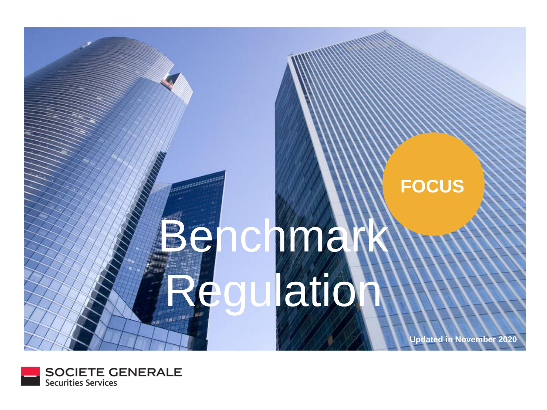

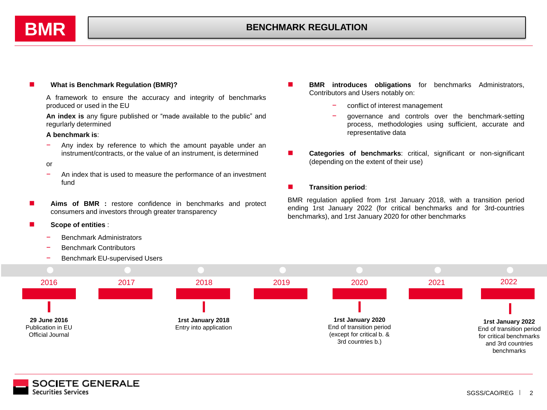

### ◼ **What is Benchmark Regulation (BMR)?**

A framework to ensure the accuracy and integrity of benchmarks produced or used in the EU

**An index is** any figure published or "made available to the public" and regurlarly determined

#### **A benchmark is**:

− Any index by reference to which the amount payable under an instrument/contracts, or the value of an instrument, is determined

#### or

- − An index that is used to measure the performance of an investment fund
- **Aims of BMR** : restore confidence in benchmarks and protect consumers and investors through greater transparency

◼ **Scope of entities** :

- Benchmark Administrators
- Benchmark Contributors

**SOCIETE GENERALE** 

**Securities Services** 

Benchmark EU-supervised Users

- **BMR introduces obligations** for benchmarks Administrators, Contributors and Users notably on:
	- − conflict of interest management
	- − governance and controls over the benchmark-setting process, methodologies using sufficient, accurate and representative data
- ◼ **Categories of benchmarks**: critical, significant or non-significant (depending on the extent of their use)

#### ■ **Transition period:**

BMR regulation applied from 1rst January 2018, with a transition period ending 1rst January 2022 (for critical benchmarks and for 3rd-countries benchmarks), and 1rst January 2020 for other benchmarks